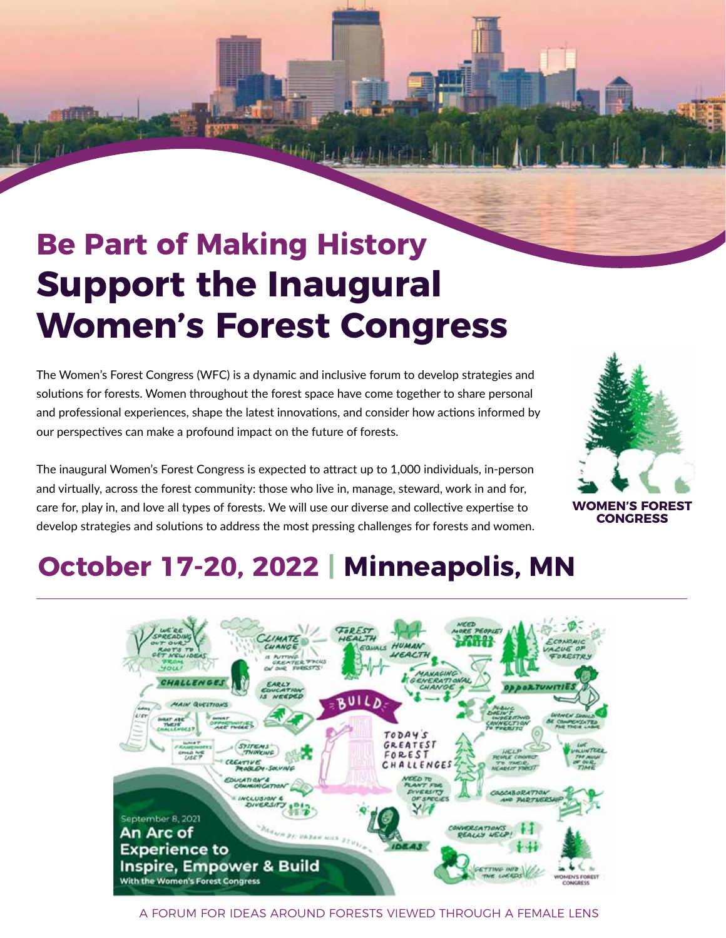# **Be Part of Making History Support the Inaugural Women's Forest Congress**

**3:30 – 3:35 PM** our perspectives can make a profound impact on the future of forests. The Women's Forest Congress (WFC) is a dynamic and inclusive forum to develop strategies and solutions for forests. Women throughout the forest space have come together to share personal and professional experiences, shape the latest innovations, and consider how actions informed by

The inaugural Women's Forest Congress is expected to attract up to 1,000 individuals, in-person and virtually, across the forest community: those who live in, manage, steward, work in and for, care for, play in, and love all types of forests. We will use our diverse and collective expertise to develop strategies and solutions to address the most pressing challenges for forests and women.



**WOMEN'S FOREST CONGRESS**

## **October 17-20, 2022 | Minneapolis, MN**



A FORUM FOR IDEAS AROUND FORESTS VIEWED THROUGH A FEMALE LENS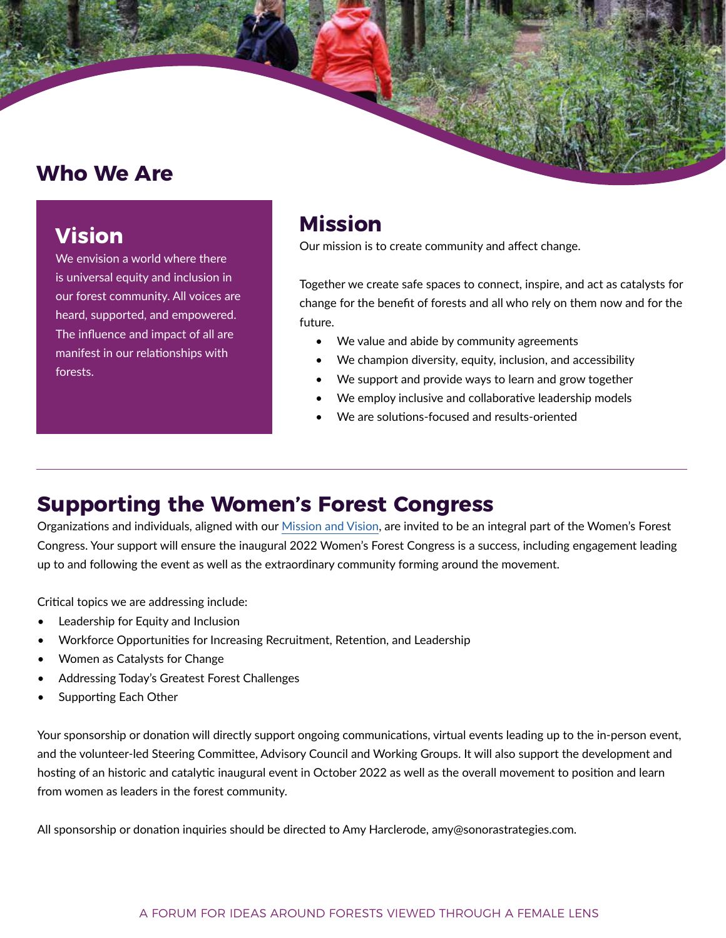## **Who We Are**

## **Vision**

We envision a world where there is universal equity and inclusion in our forest community. All voices are heard, supported, and empowered. The influence and impact of all are manifest in our relationships with forests.

## **Mission**

Our mission is to create community and affect change.

Together we create safe spaces to connect, inspire, and act as catalysts for change for the benefit of forests and all who rely on them now and for the future.

- We value and abide by community agreements
- We champion diversity, equity, inclusion, and accessibility
- We support and provide ways to learn and grow together
- We employ inclusive and collaborative leadership models
- We are solutions-focused and results-oriented

## **Supporting the Women's Forest Congress**

Organizations and individuals, aligned with our [Mission and Vision](https://womensforestcongress.org/about-us/), are invited to be an integral part of the Women's Forest Congress. Your support will ensure the inaugural 2022 Women's Forest Congress is a success, including engagement leading up to and following the event as well as the extraordinary community forming around the movement.

Critical topics we are addressing include:

- Leadership for Equity and Inclusion
- Workforce Opportunities for Increasing Recruitment, Retention, and Leadership
- Women as Catalysts for Change
- Addressing Today's Greatest Forest Challenges
- Supporting Each Other

Your sponsorship or donation will directly support ongoing communications, virtual events leading up to the in-person event, and the volunteer-led Steering Committee, Advisory Council and Working Groups. It will also support the development and hosting of an historic and catalytic inaugural event in October 2022 as well as the overall movement to position and learn from women as leaders in the forest community.

All sponsorship or donation inquiries should be directed to Amy Harclerode, amy@sonorastrategies.com.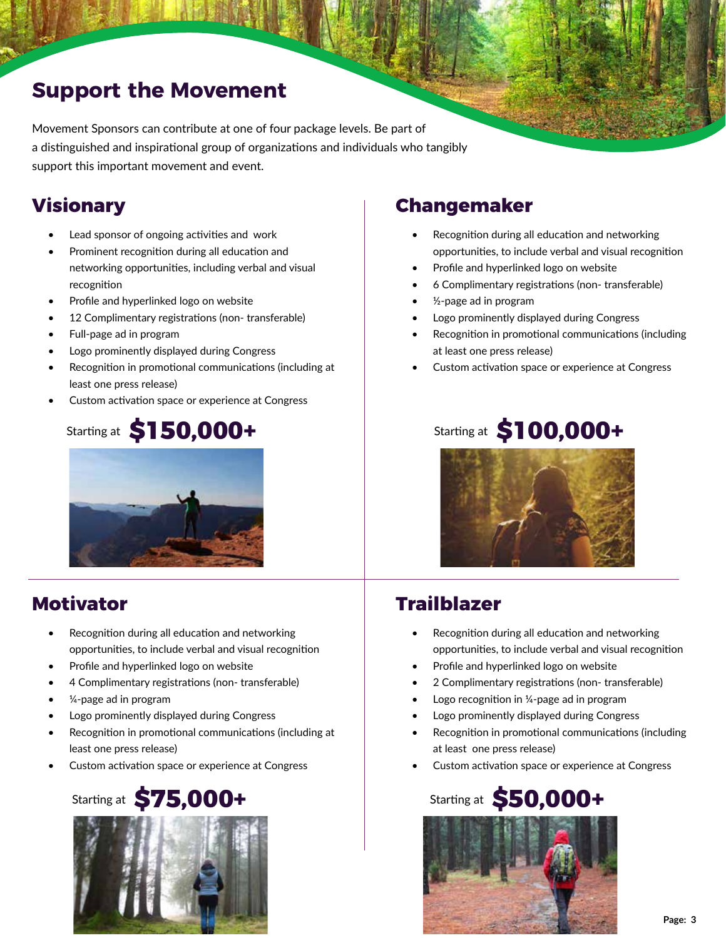## **Support the Movement**

Movement Sponsors can contribute at one of four package levels. Be part of a distinguished and inspirational group of organizations and individuals who tangibly support this important movement and event.

## **Visionary**

- Lead sponsor of ongoing activities and work
- Prominent recognition during all education and networking opportunities, including verbal and visual recognition
- Profile and hyperlinked logo on website
- 12 Complimentary registrations (non- transferable)
- Full-page ad in program
- Logo prominently displayed during Congress
- Recognition in promotional communications (including at least one press release)
- Custom activation space or experience at Congress





## **Motivator**

- Recognition during all education and networking opportunities, to include verbal and visual recognition
- Profile and hyperlinked logo on website
- 4 Complimentary registrations (non- transferable)
- $\frac{1}{4}$ -page ad in program
- Logo prominently displayed during Congress

Starting at **\$75,000+**

- Recognition in promotional communications (including at least one press release)
- Custom activation space or experience at Congress

## **Changemaker**

- Recognition during all education and networking opportunities, to include verbal and visual recognition
- Profile and hyperlinked logo on website
- 6 Complimentary registrations (non- transferable)
- $\frac{1}{2}$ -page ad in program
- Logo prominently displayed during Congress
- Recognition in promotional communications (including at least one press release)
- Custom activation space or experience at Congress





## **Trailblazer**

- Recognition during all education and networking opportunities, to include verbal and visual recognition
- Profile and hyperlinked logo on website
- 2 Complimentary registrations (non- transferable)
- Logo recognition in  $\frac{1}{4}$ -page ad in program
- Logo prominently displayed during Congress
- Recognition in promotional communications (including at least one press release)
- Custom activation space or experience at Congress



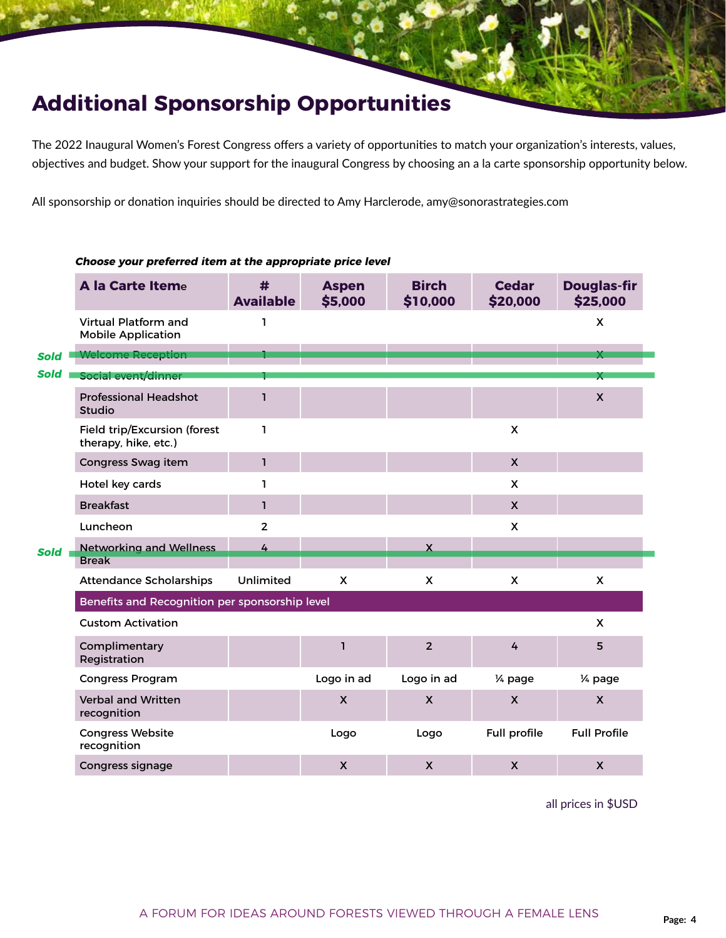## **Additional Sponsorship Opportunities**

The 2022 Inaugural Women's Forest Congress offers a variety of opportunities to match your organization's interests, values, objectives and budget. Show your support for the inaugural Congress by choosing an a la carte sponsorship opportunity below.

All sponsorship or donation inquiries should be directed to Amy Harclerode, amy@sonorastrategies.com

#### **A la Carte Item**e **# Available Aspen \$5,000 Birch \$10,000 Cedar \$20,000 Douglas-fir \$25,000** Virtual Platform and Mobile Application  $1$ Sold **Nelsome Reception 1 2008 1 2008 1 2008 1 2009 1 2009 1 2009 1 2009 1 2009 1 2009 1 2009 1 2009 1 2009 1 200** Social event/dinner 1 X **Sold** Professional Headshot Studio 1 X Field trip/Excursion (forest therapy, hike, etc.)  $1$  X **Congress Swag item 1 1 Marshall School School School School School School School School School School School S** Hotel key cards 1 X Breakfast | 1 X Luncheon 2 X Networking and Wellness Break 4 X Attendance Scholarships Unlimited X X X X X Benefits and Recognition per sponsorship level Custom Activation X **Complimentary** Registration 1 2 4 5 Congress Program Logo in ad Logo in ad ¼ page ¼ page Verbal and Written recognition  $\mathsf X$  X  $\mathsf X$  X  $\mathsf X$ Congress Website recognition Logo Logo Full profile Full Profile Congress signage and the set of the set of the set of the set of the set of the set of the set of the set of the set of the set of the set of the set of the set of the set of the set of the set of the set of the set of the **Sold**

#### **Choose your preferred item at the appropriate price level**

all prices in \$USD